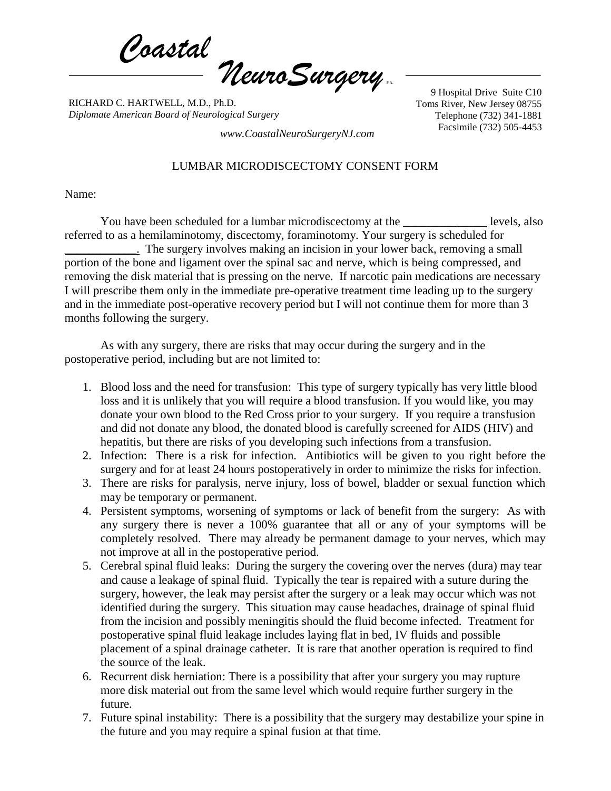*Coastal NeuroSurgery* P.A.

RICHARD C. HARTWELL, M.D., Ph.D. *Diplomate American Board of Neurological Surgery*

9 Hospital Drive Suite C10 Toms River, New Jersey 08755 Telephone (732) 341-1881

Facsimile (732) 505-4453 *www.CoastalNeuroSurgeryNJ.com*

## LUMBAR MICRODISCECTOMY CONSENT FORM

Name:

You have been scheduled for a lumbar microdiscectomy at the levels, also referred to as a hemilaminotomy, discectomy, foraminotomy. Your surgery is scheduled for \_\_\_\_\_\_\_\_\_\_\_\_. The surgery involves making an incision in your lower back, removing a small portion of the bone and ligament over the spinal sac and nerve, which is being compressed, and removing the disk material that is pressing on the nerve. If narcotic pain medications are necessary I will prescribe them only in the immediate pre-operative treatment time leading up to the surgery and in the immediate post-operative recovery period but I will not continue them for more than 3 months following the surgery.

As with any surgery, there are risks that may occur during the surgery and in the postoperative period, including but are not limited to:

- 1. Blood loss and the need for transfusion: This type of surgery typically has very little blood loss and it is unlikely that you will require a blood transfusion. If you would like, you may donate your own blood to the Red Cross prior to your surgery. If you require a transfusion and did not donate any blood, the donated blood is carefully screened for AIDS (HIV) and hepatitis, but there are risks of you developing such infections from a transfusion.
- 2. Infection: There is a risk for infection. Antibiotics will be given to you right before the surgery and for at least 24 hours postoperatively in order to minimize the risks for infection.
- 3. There are risks for paralysis, nerve injury, loss of bowel, bladder or sexual function which may be temporary or permanent.
- 4. Persistent symptoms, worsening of symptoms or lack of benefit from the surgery: As with any surgery there is never a 100% guarantee that all or any of your symptoms will be completely resolved. There may already be permanent damage to your nerves, which may not improve at all in the postoperative period.
- 5. Cerebral spinal fluid leaks: During the surgery the covering over the nerves (dura) may tear and cause a leakage of spinal fluid. Typically the tear is repaired with a suture during the surgery, however, the leak may persist after the surgery or a leak may occur which was not identified during the surgery. This situation may cause headaches, drainage of spinal fluid from the incision and possibly meningitis should the fluid become infected. Treatment for postoperative spinal fluid leakage includes laying flat in bed, IV fluids and possible placement of a spinal drainage catheter. It is rare that another operation is required to find the source of the leak.
- 6. Recurrent disk herniation: There is a possibility that after your surgery you may rupture more disk material out from the same level which would require further surgery in the future.
- 7. Future spinal instability: There is a possibility that the surgery may destabilize your spine in the future and you may require a spinal fusion at that time.